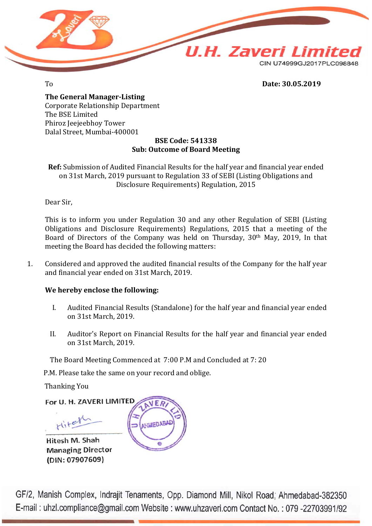

### To **Date: 30.05.2019**

**The General Manager-Listing** Corporate Relationship Department The BSE Limited Phiroz Jeejeebhoy Tower Dalal Street, Mumbai-400001

### **BSE Code: 541338 Sub: Outcome of Board Meeting**

**Ref:** Submission of Audited Financial Results for the half year and financial year ended on 31st March, 2019 pursuant to Regulation 33 of SEBI (Listing Obligations and Disclosure Requirements) Regulation, 2015

Dear Sir,

This is to inform you under Regulation 30 and any other Regulation of SEBI (Listing Obligations and Disclosure Requirements) Regulations, 2015 that a meeting of the Board of Directors of the Company was held on Thursday, 30th May, 2019, In that meeting the Board has decided the following matters:

1. Considered and approved the audited financial results of the Company for the half year and financial year ended on 31st March, 2019.

### **We hereby enclose the following:**

- I. Audited Financial Results (Standalone) for the half year and financial year ended on 31st March, 2019.
- II. Auditor's Report on Financial Results for the half year and financial year ended on 31st March, 2019.

The Board Meeting Commenced at 7:00 P.M and Concluded at 7: 20

P.M. Please take the same on your record and oblige.

Thanking You

(DIN: 07907609)

For U. H. ZAVERI LIMITED Hitel **JEDABA** Hitesh M. Shah **Managing Director** 

GF/2, Manish Complex, Indrajit Tenaments, Opp. Diamond Mill, Nikol Road; Ahmedabad-382350 E-mail: uhzl.compliance@gmail.com Website: www.uhzaveri.com Contact No.: 079-22703991/92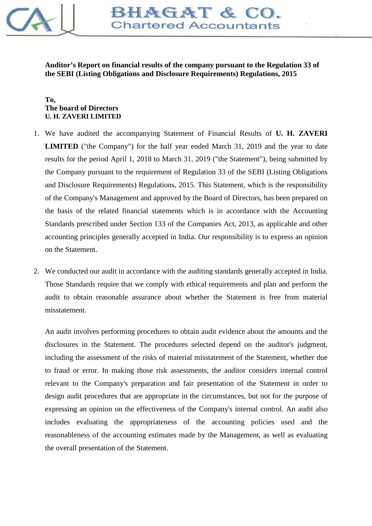

**Auditor's Report on financial results of the company pursuant to the Regulation 33 of the SEBI (Listing Obligations and Disclosure Requirements) Regulations, 2015**

### **To, The board of Directors U. H. ZAVERI LIMITED**

- 1. We have audited the accompanying Statement of Financial Results of **U. H. ZAVERI LIMITED** ("the Company") for the half year ended March 31, 2019 and the year to date results for the period April 1, 2018 to March 31, 2019 ("the Statement"), being submitted by the Company pursuant to the requirement of Regulation 33 of the SEBI (Listing Obligations and Disclosure Requirements) Regulations, 2015. This Statement, which is the responsibility of the Company's Management and approved by the Board of Directors, has been prepared on the basis of the related financial statements which is in accordance with the Accounting Standards prescribed under Section 133 of the Companies Act, 2013, as applicable and other accounting principles generally accepted in India. Our responsibility is to express an opinion on the Statement.
- 2. We conducted our audit in accordance with the auditing standards generally accepted in India. Those Standards require that we comply with ethical requirements and plan and perform the audit to obtain reasonable assurance about whether the Statement is free from material misstatement.

An audit involves performing procedures to obtain audit evidence about the amounts and the disclosures in the Statement. The procedures selected depend on the auditor's judgment, including the assessment of the risks of material misstatement of the Statement, whether due to fraud or error. In making those risk assessments, the auditor considers internal control relevant to the Company's preparation and fair presentation of the Statement in order to design audit procedures that are appropriate in the circumstances, but not for the purpose of expressing an opinion on the effectiveness of the Company's internal control. An audit also includes evaluating the appropriateness of the accounting policies used and the reasonableness of the accounting estimates made by the Management, as well as evaluating the overall presentation of the Statement.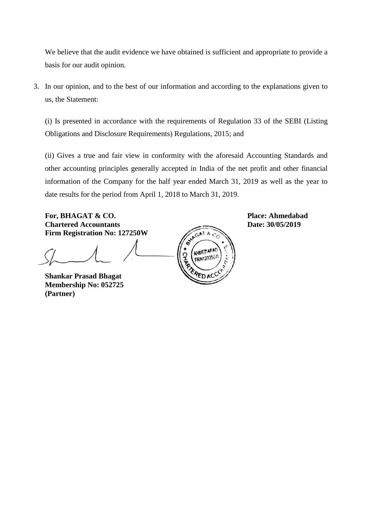We believe that the audit evidence we have obtained is sufficient and appropriate to provide a basis for our audit opinion.

3. In our opinion, and to the best of our information and according to the explanations given to us, the Statement:

(i) Is presented in accordance with the requirements of Regulation 33 of the SEBI (Listing Obligations and Disclosure Requirements) Regulations, 2015; and

(ii) Gives a true and fair view in conformity with the aforesaid Accounting Standards and other accounting principles generally accepted in India of the net profit and other financial information of the Company for the half year ended March 31, 2019 as well as the year to date results for the period from April 1, 2018 to March 31, 2019.

**For, BHAGAT & CO.**<br> **Place: Ahmedabad**<br> **Place: Ahmedabad**<br> **Place: Ahmedabad**<br> **Place: 30/05/2019 Chartered Accountants Firm Registration No: 127250W**

**Shankar Prasad Bhagat Membership No: 052725 (Partner)**

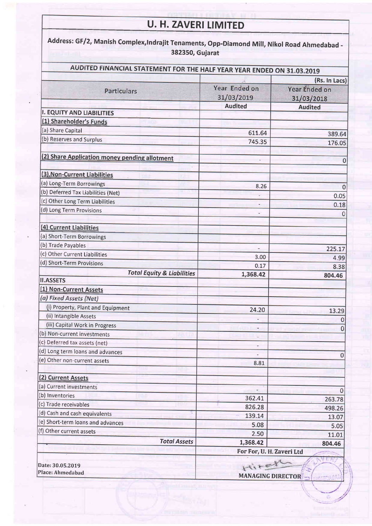# U. H. ZAVERI LIMITED

| AUDITED FINANCIAL STATEMENT FOR THE HALF YEAR YEAR ENDED ON 31.03.2019 |                                  |                                       |  |  |
|------------------------------------------------------------------------|----------------------------------|---------------------------------------|--|--|
|                                                                        |                                  |                                       |  |  |
|                                                                        | Year Ended on                    | (Rs. In Lacs)<br><b>Year Ended on</b> |  |  |
| <b>Particulars</b>                                                     | 31/03/2019                       | 31/03/2018                            |  |  |
|                                                                        | <b>Audited</b>                   | <b>Audited</b>                        |  |  |
| <b>I. EQUITY AND LIABILITIES</b>                                       |                                  |                                       |  |  |
| (1) Shareholder's Funds                                                |                                  |                                       |  |  |
| (a) Share Capital                                                      | 611.64                           | 389.64                                |  |  |
| (b) Reserves and Surplus                                               | 745.35                           | 176.05                                |  |  |
| (2) Share Application money pending allotment                          | ٠                                | 0                                     |  |  |
| (3). Non-Current Liabilities                                           |                                  |                                       |  |  |
| (a) Long-Term Borrowings                                               | 8.26                             |                                       |  |  |
| (b) Deferred Tax Liabilities (Net)                                     | ä,                               | $\mathbf 0$<br>0.05                   |  |  |
| (c) Other Long Term Liabilities                                        |                                  | 0.18                                  |  |  |
| (d) Long Term Provisions                                               |                                  |                                       |  |  |
| (4) Current Liabilities                                                |                                  |                                       |  |  |
| (a) Short-Term Borrowings                                              |                                  |                                       |  |  |
| (b) Trade Payables                                                     | $\overline{\phantom{a}}$         | 225.17                                |  |  |
| (c) Other Current Liabilities                                          | 3.00                             | 4.99                                  |  |  |
| (d) Short-Term Provisions                                              | 0.17                             | 8.38                                  |  |  |
| <b>Total Equity &amp; Liabilities</b>                                  | 1,368.42                         | 804.46                                |  |  |
| <b>II.ASSETS</b>                                                       |                                  |                                       |  |  |
| (1) Non-Current Assets                                                 |                                  |                                       |  |  |
| (a) Fixed Assets (Net)                                                 |                                  |                                       |  |  |
| (i) Property, Plant and Equipment                                      | 24.20                            | 13.29                                 |  |  |
| (ii) Intangible Assets                                                 |                                  | 0                                     |  |  |
| (iii) Capital Work in Progress                                         |                                  | 0                                     |  |  |
| (b) Non-current investments                                            |                                  |                                       |  |  |
| (c) Deferred tax assets (net)                                          |                                  |                                       |  |  |
| (d) Long term loans and advances                                       |                                  | 0                                     |  |  |
| (e) Other non-current assets                                           | 8.81                             |                                       |  |  |
| (2) Current Assets                                                     |                                  |                                       |  |  |
| (a) Current investments                                                |                                  |                                       |  |  |
| (b) Inventories                                                        | 362.41                           | 263.78                                |  |  |
| (c) Trade receivables                                                  | 826.28                           | 498.26                                |  |  |
| (d) Cash and cash equivalents                                          | 139.14                           | 13.07                                 |  |  |
| (e) Short-term loans and advances                                      | 5.08                             | 5.05                                  |  |  |
| (f) Other current assets                                               | 2.50                             | 11.01                                 |  |  |
| <b>Total Assets</b>                                                    | 1,368.42                         | 804.46                                |  |  |
|                                                                        | For For, U.H. Zaveri Ltd         |                                       |  |  |
| Date: 30.05.2019                                                       | Hitch<br><b>MANAGING DIRECTO</b> |                                       |  |  |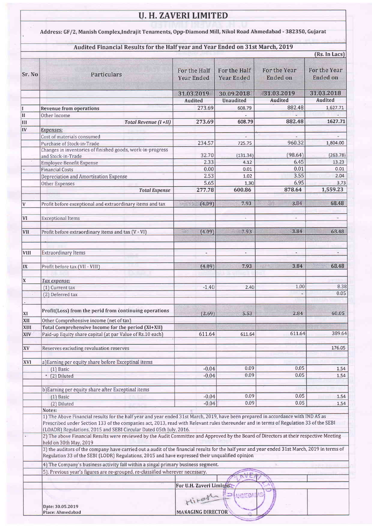## **U. H. ZAVERI LIMITED**

Address: GF/2, Manish Complex, Indrajit Tenaments, Opp-Diamond Mill, Nikol Road Ahmedabad - 382350, Gujarat

### Audited Financial Results for the Half year and Year Ended on 31st March, 2019

|              |                                                                                                                                                                                                                                                   |                                   |         |                                   | (Rs. In Lacs)                   |                                 |  |  |  |
|--------------|---------------------------------------------------------------------------------------------------------------------------------------------------------------------------------------------------------------------------------------------------|-----------------------------------|---------|-----------------------------------|---------------------------------|---------------------------------|--|--|--|
| Sr. No       | <b>Particulars</b>                                                                                                                                                                                                                                |                                   |         |                                   |                                 |                                 |  |  |  |
|              |                                                                                                                                                                                                                                                   | For the Half<br><b>Year Ended</b> |         | For the Half<br><b>Year Ended</b> | For the Year<br><b>Ended on</b> | For the Year<br><b>Ended on</b> |  |  |  |
|              |                                                                                                                                                                                                                                                   |                                   |         | 30.09.2018                        | 31.03.2019                      | 31.03.2018                      |  |  |  |
|              |                                                                                                                                                                                                                                                   | 31.03.2019                        |         |                                   |                                 |                                 |  |  |  |
|              |                                                                                                                                                                                                                                                   | <b>Audited</b>                    |         | <b>Unaudited</b>                  | <b>Audited</b>                  | Audited                         |  |  |  |
| I            | <b>Revenue from operations</b>                                                                                                                                                                                                                    |                                   | 273.69  | 608.79                            | 882.48                          | 1,627.71                        |  |  |  |
| $\mathbf{I}$ | Other Income                                                                                                                                                                                                                                      |                                   |         |                                   |                                 |                                 |  |  |  |
| Ш            | Total Revenue (I+II)                                                                                                                                                                                                                              |                                   | 273.69  | 608.79                            | 882.48                          | 1627.71                         |  |  |  |
| IV           | <b>Expenses:</b>                                                                                                                                                                                                                                  |                                   |         |                                   |                                 |                                 |  |  |  |
|              | Cost of materials consumed                                                                                                                                                                                                                        |                                   |         |                                   |                                 |                                 |  |  |  |
|              | Purchase of Stock-in-Trade                                                                                                                                                                                                                        |                                   | 234.57  | 725.75                            | 960.32                          | 1,804.00                        |  |  |  |
|              | Changes in inventories of finished goods, work-in-progress<br>and Stock-in-Trade                                                                                                                                                                  |                                   | 32.70   | (131.34)                          | (98.64)                         | (263.78)                        |  |  |  |
|              | Employee Benefit Expense                                                                                                                                                                                                                          |                                   | 2.33    | 4.12                              | 6.45                            | 13.23                           |  |  |  |
|              | <b>Financial Costs</b>                                                                                                                                                                                                                            |                                   | 0.00    | 0.01                              | 0.01                            | 0.01                            |  |  |  |
|              | Depreciation and Amortization Expense                                                                                                                                                                                                             |                                   | 2.53    | 1.02                              | 3.55                            | 2.04                            |  |  |  |
|              | Other Expenses                                                                                                                                                                                                                                    |                                   | 5.65    | 1.30                              | 6.95                            | 3.73                            |  |  |  |
|              | <b>Total Expense</b>                                                                                                                                                                                                                              |                                   | 277.78  | 600.86                            | 878.64                          | 1,559.23                        |  |  |  |
|              |                                                                                                                                                                                                                                                   |                                   |         |                                   |                                 |                                 |  |  |  |
| v            | Profit before exceptional and extraordinary items and tax                                                                                                                                                                                         | 1.09                              |         | 7.93                              | 3.84                            | 68.48                           |  |  |  |
|              |                                                                                                                                                                                                                                                   |                                   |         |                                   |                                 |                                 |  |  |  |
| <b>VI</b>    | <b>Exceptional Items</b>                                                                                                                                                                                                                          |                                   |         | ä,                                | ÷.                              | ÷                               |  |  |  |
|              |                                                                                                                                                                                                                                                   |                                   |         |                                   |                                 |                                 |  |  |  |
| VII          | Profit before extraordinary items and tax (V - VI)                                                                                                                                                                                                | <b>WAS</b>                        | (4.09)  | 187.93                            | 3.84                            | 68.48                           |  |  |  |
|              |                                                                                                                                                                                                                                                   |                                   |         |                                   |                                 |                                 |  |  |  |
|              |                                                                                                                                                                                                                                                   |                                   |         |                                   |                                 |                                 |  |  |  |
| VIII         | <b>Extraordinary Items</b>                                                                                                                                                                                                                        |                                   |         |                                   |                                 | $\overline{a}$                  |  |  |  |
|              |                                                                                                                                                                                                                                                   |                                   |         |                                   |                                 |                                 |  |  |  |
| IX           | Profit before tax (VII - VIII)                                                                                                                                                                                                                    |                                   | (4.09)  | 7.93                              | 42<br>3.84                      | 68.48                           |  |  |  |
|              |                                                                                                                                                                                                                                                   |                                   |         |                                   |                                 |                                 |  |  |  |
| X            | Tax expense:                                                                                                                                                                                                                                      |                                   |         |                                   |                                 |                                 |  |  |  |
|              | (1) Current tax                                                                                                                                                                                                                                   |                                   | $-1.40$ | 2.40                              | 1.00                            | 8.38                            |  |  |  |
|              | (2) Deferred tax                                                                                                                                                                                                                                  |                                   |         |                                   |                                 | 0.05                            |  |  |  |
|              |                                                                                                                                                                                                                                                   |                                   |         |                                   |                                 |                                 |  |  |  |
|              |                                                                                                                                                                                                                                                   |                                   |         |                                   |                                 |                                 |  |  |  |
| XI           | Profit(Loss) from the perid from continuing operations                                                                                                                                                                                            |                                   | (2.69)  | 5.53                              | 2.84                            | 60.05                           |  |  |  |
| XII          | Other Comprehensive income (net of tax)                                                                                                                                                                                                           |                                   |         |                                   |                                 |                                 |  |  |  |
| XIII         | Total Comprehensive Income for the period (XI+XII)                                                                                                                                                                                                |                                   |         |                                   |                                 |                                 |  |  |  |
| <b>XIV</b>   | Paid-up Equity share capital (at par Value of Rs.10 each)                                                                                                                                                                                         |                                   | 611.64  | 611.64                            | 611.64                          | 389,64                          |  |  |  |
|              |                                                                                                                                                                                                                                                   |                                   |         |                                   |                                 |                                 |  |  |  |
| XV           | Reserves excluding revaluation reserves                                                                                                                                                                                                           |                                   |         |                                   |                                 | 176.05                          |  |  |  |
|              |                                                                                                                                                                                                                                                   |                                   |         |                                   |                                 |                                 |  |  |  |
| XVI          | a)Earning per equity share before Exceptinal items                                                                                                                                                                                                |                                   |         |                                   |                                 |                                 |  |  |  |
|              | $(1)$ Basic                                                                                                                                                                                                                                       |                                   | $-0.04$ | 0.09                              | 0.05                            | 1.54                            |  |  |  |
|              | * (2) Diluted                                                                                                                                                                                                                                     |                                   | $-0.04$ | 0.09                              | 0.05                            | 1.54                            |  |  |  |
|              |                                                                                                                                                                                                                                                   |                                   |         |                                   |                                 |                                 |  |  |  |
|              | b) Earning per equity share after Exceptinal items                                                                                                                                                                                                |                                   |         |                                   |                                 |                                 |  |  |  |
|              | (1) Basic                                                                                                                                                                                                                                         |                                   | $-0.04$ | 0.09                              | 0.05                            | 1.54                            |  |  |  |
|              | (2) Diluted                                                                                                                                                                                                                                       |                                   | $-0.04$ | 0.09                              | 0.05                            | 1,54                            |  |  |  |
|              | Notes:                                                                                                                                                                                                                                            |                                   |         |                                   |                                 |                                 |  |  |  |
|              | 1) The Above Financial results for the half year and year ended 31st March, 2019, have been prepared in accordance with IND AS as                                                                                                                 |                                   |         |                                   |                                 |                                 |  |  |  |
|              | Prescribed under Section 133 of the companies act, 2013, read with Relevant rules thereunder and in terms of Regulation 33 of the SEBI                                                                                                            |                                   |         |                                   |                                 |                                 |  |  |  |
|              | (LOADR) Regulations, 2015 and SEBI Circular Dated 05th July, 2016.                                                                                                                                                                                |                                   |         |                                   |                                 |                                 |  |  |  |
|              | 2) The above Financial Results were reviewed by the Audit Committee and Approved by the Board of Directors at their respective Meeting                                                                                                            |                                   |         |                                   |                                 |                                 |  |  |  |
|              | held on 30th May, 2019                                                                                                                                                                                                                            |                                   |         |                                   |                                 |                                 |  |  |  |
|              | 3) the auditors of the company have carried out a audit of the financial results for the half year and year ended 31st March, 2019 in terms of<br>Regulation 33 of the SEBI (LODR) Regulations, 2015 and have expressed their unqualified opinion |                                   |         |                                   |                                 |                                 |  |  |  |
|              |                                                                                                                                                                                                                                                   |                                   |         |                                   |                                 |                                 |  |  |  |
|              | 4) The Company's business activity fall within a singal primary business segment.                                                                                                                                                                 |                                   |         |                                   |                                 |                                 |  |  |  |
|              | 5). Previous year's figures are re-grouped, re-classified wherever necessary.                                                                                                                                                                     |                                   |         |                                   |                                 |                                 |  |  |  |
|              |                                                                                                                                                                                                                                                   |                                   |         |                                   |                                 |                                 |  |  |  |
|              | For U.H. Zaveri Limited                                                                                                                                                                                                                           |                                   |         |                                   |                                 |                                 |  |  |  |
|              | <b>MANEDA</b>                                                                                                                                                                                                                                     |                                   |         |                                   |                                 |                                 |  |  |  |
|              |                                                                                                                                                                                                                                                   |                                   | Hiter   |                                   |                                 |                                 |  |  |  |
|              | Date: 30.05.2019                                                                                                                                                                                                                                  |                                   |         |                                   |                                 |                                 |  |  |  |
|              | Place: Ahmedabad                                                                                                                                                                                                                                  | <b>MANAGING DIRECTOR</b>          |         |                                   |                                 |                                 |  |  |  |